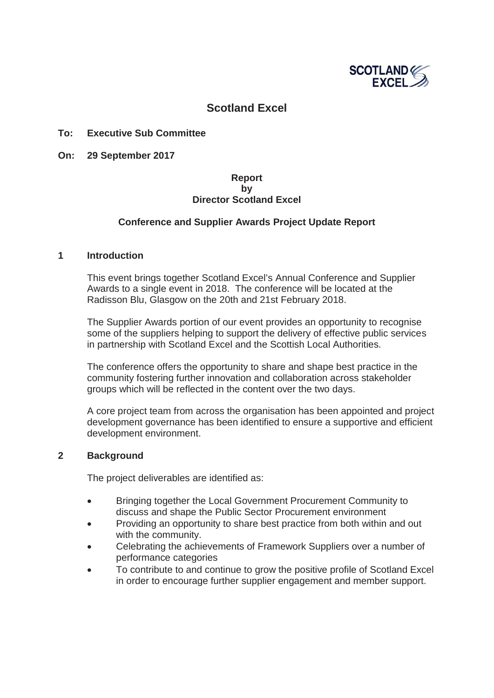

# **Scotland Excel**

## **To: Executive Sub Committee**

**On: 29 September 2017**

# **Report by Director Scotland Excel**

## **Conference and Supplier Awards Project Update Report**

#### **1 Introduction**

This event brings together Scotland Excel's Annual Conference and Supplier Awards to a single event in 2018. The conference will be located at the Radisson Blu, Glasgow on the 20th and 21st February 2018.

The Supplier Awards portion of our event provides an opportunity to recognise some of the suppliers helping to support the delivery of effective public services in partnership with Scotland Excel and the Scottish Local Authorities.

The conference offers the opportunity to share and shape best practice in the community fostering further innovation and collaboration across stakeholder groups which will be reflected in the content over the two days.

A core project team from across the organisation has been appointed and project development governance has been identified to ensure a supportive and efficient development environment.

## **2 Background**

The project deliverables are identified as:

- **EXECT:** Bringing together the Local Government Procurement Community to discuss and shape the Public Sector Procurement environment
- Providing an opportunity to share best practice from both within and out with the community.
- Celebrating the achievements of Framework Suppliers over a number of performance categories
- To contribute to and continue to grow the positive profile of Scotland Excel in order to encourage further supplier engagement and member support.